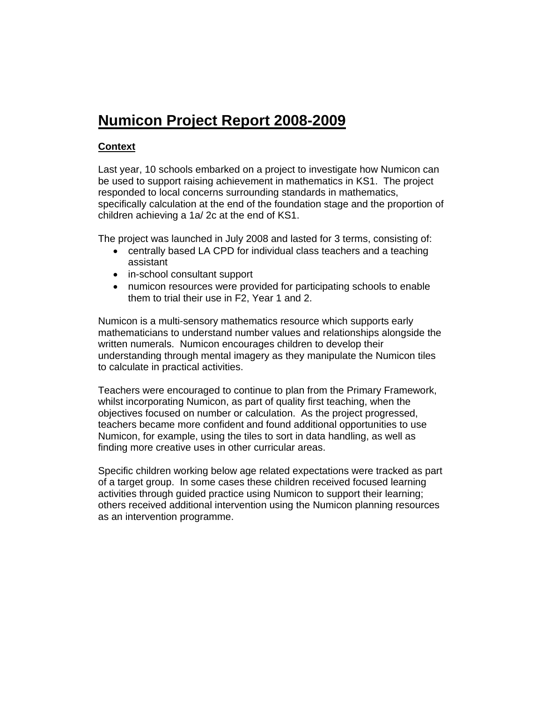# **Numicon Project Report 2008-2009**

## **Context**

Last year, 10 schools embarked on a project to investigate how Numicon can be used to support raising achievement in mathematics in KS1. The project responded to local concerns surrounding standards in mathematics, specifically calculation at the end of the foundation stage and the proportion of children achieving a 1a/ 2c at the end of KS1.

The project was launched in July 2008 and lasted for 3 terms, consisting of:

- centrally based LA CPD for individual class teachers and a teaching assistant
- in-school consultant support
- numicon resources were provided for participating schools to enable them to trial their use in F2, Year 1 and 2.

Numicon is a multi-sensory mathematics resource which supports early mathematicians to understand number values and relationships alongside the written numerals. Numicon encourages children to develop their understanding through mental imagery as they manipulate the Numicon tiles to calculate in practical activities.

Teachers were encouraged to continue to plan from the Primary Framework, whilst incorporating Numicon, as part of quality first teaching, when the objectives focused on number or calculation. As the project progressed, teachers became more confident and found additional opportunities to use Numicon, for example, using the tiles to sort in data handling, as well as finding more creative uses in other curricular areas.

Specific children working below age related expectations were tracked as part of a target group. In some cases these children received focused learning activities through guided practice using Numicon to support their learning; others received additional intervention using the Numicon planning resources as an intervention programme.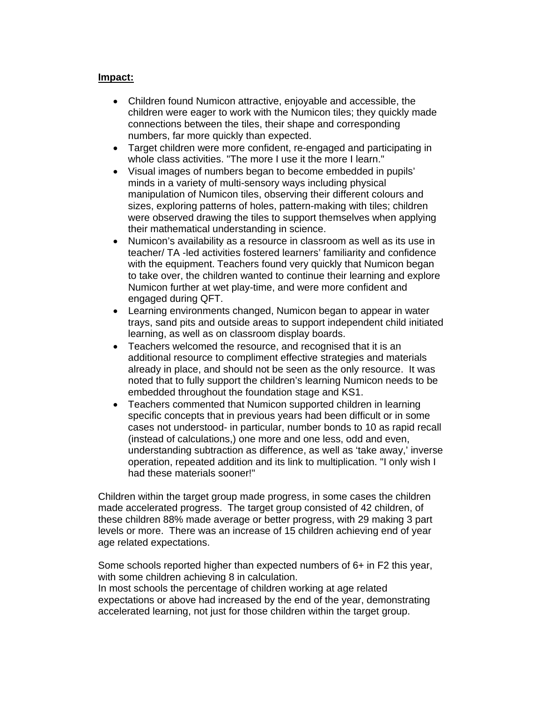### **Impact:**

- Children found Numicon attractive, enjoyable and accessible, the children were eager to work with the Numicon tiles; they quickly made connections between the tiles, their shape and corresponding numbers, far more quickly than expected.
- Target children were more confident, re-engaged and participating in whole class activities. "The more I use it the more I learn."
- Visual images of numbers began to become embedded in pupils' minds in a variety of multi-sensory ways including physical manipulation of Numicon tiles, observing their different colours and sizes, exploring patterns of holes, pattern-making with tiles; children were observed drawing the tiles to support themselves when applying their mathematical understanding in science.
- Numicon's availability as a resource in classroom as well as its use in teacher/ TA -led activities fostered learners' familiarity and confidence with the equipment. Teachers found very quickly that Numicon began to take over, the children wanted to continue their learning and explore Numicon further at wet play-time, and were more confident and engaged during QFT.
- Learning environments changed, Numicon began to appear in water trays, sand pits and outside areas to support independent child initiated learning, as well as on classroom display boards.
- Teachers welcomed the resource, and recognised that it is an additional resource to compliment effective strategies and materials already in place, and should not be seen as the only resource. It was noted that to fully support the children's learning Numicon needs to be embedded throughout the foundation stage and KS1.
- Teachers commented that Numicon supported children in learning specific concepts that in previous years had been difficult or in some cases not understood- in particular, number bonds to 10 as rapid recall (instead of calculations,) one more and one less, odd and even, understanding subtraction as difference, as well as 'take away,' inverse operation, repeated addition and its link to multiplication. "I only wish I had these materials sooner!"

Children within the target group made progress, in some cases the children made accelerated progress. The target group consisted of 42 children, of these children 88% made average or better progress, with 29 making 3 part levels or more. There was an increase of 15 children achieving end of year age related expectations.

Some schools reported higher than expected numbers of 6+ in F2 this year, with some children achieving 8 in calculation.

In most schools the percentage of children working at age related expectations or above had increased by the end of the year, demonstrating accelerated learning, not just for those children within the target group.